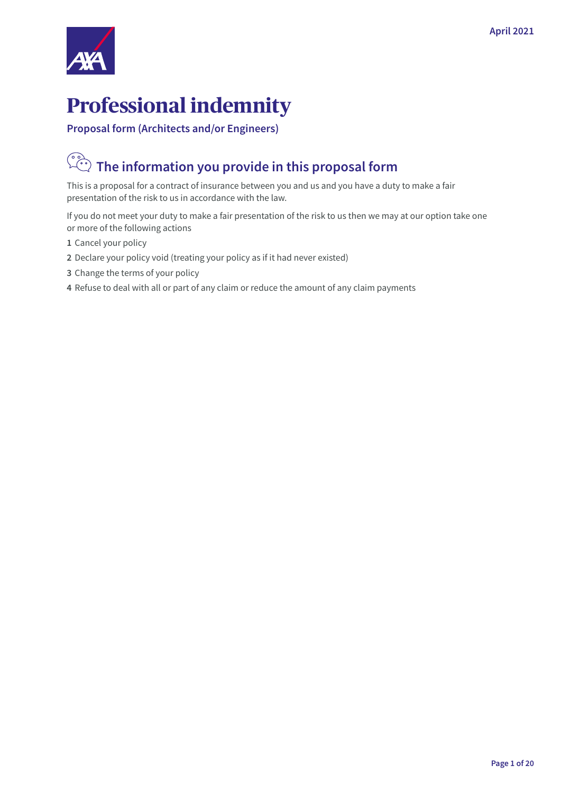

# **Professional indemnity**

**Proposal form (Architects and/or Engineers)**

# **The information you provide in this proposal form**

This is a proposal for a contract of insurance between you and us and you have a duty to make a fair presentation of the risk to us in accordance with the law.

If you do not meet your duty to make a fair presentation of the risk to us then we may at our option take one or more of the following actions

- **1** Cancel your policy
- **2** Declare your policy void (treating your policy as if it had never existed)
- **3** Change the terms of your policy
- **4** Refuse to deal with all or part of any claim or reduce the amount of any claim payments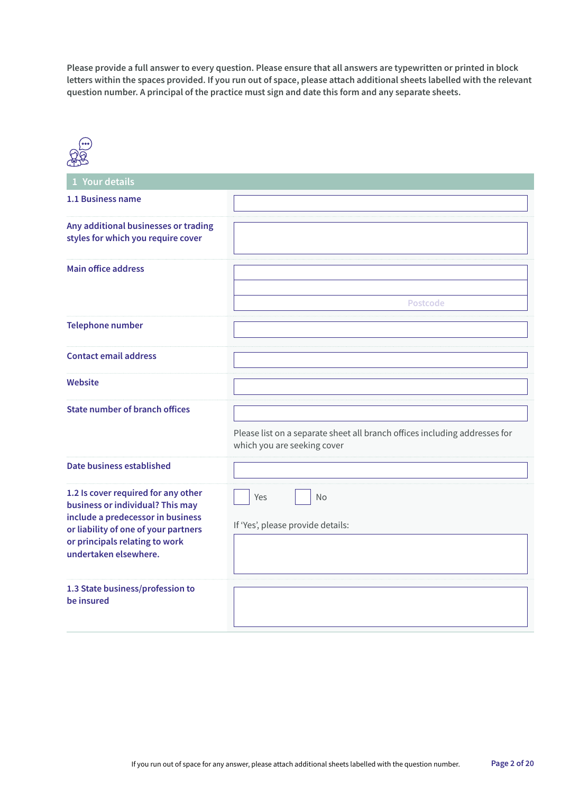**Please provide a full answer to every question. Please ensure that all answers are typewritten or printed in block letters within the spaces provided. If you run out of space, please attach additional sheets labelled with the relevant question number. A principal of the practice must sign and date this form and any separate sheets.**

| 1 Your details                                                                                                                                                                                                  |                                                                                                           |
|-----------------------------------------------------------------------------------------------------------------------------------------------------------------------------------------------------------------|-----------------------------------------------------------------------------------------------------------|
| 1.1 Business name                                                                                                                                                                                               |                                                                                                           |
| Any additional businesses or trading<br>styles for which you require cover                                                                                                                                      |                                                                                                           |
| <b>Main office address</b>                                                                                                                                                                                      |                                                                                                           |
|                                                                                                                                                                                                                 | Postcode                                                                                                  |
| <b>Telephone number</b>                                                                                                                                                                                         |                                                                                                           |
| <b>Contact email address</b>                                                                                                                                                                                    |                                                                                                           |
| <b>Website</b>                                                                                                                                                                                                  |                                                                                                           |
| <b>State number of branch offices</b>                                                                                                                                                                           | Please list on a separate sheet all branch offices including addresses for<br>which you are seeking cover |
| Date business established                                                                                                                                                                                       |                                                                                                           |
| 1.2 Is cover required for any other<br>business or individual? This may<br>include a predecessor in business<br>or liability of one of your partners<br>or principals relating to work<br>undertaken elsewhere. | No<br>Yes<br>If 'Yes', please provide details:                                                            |
| 1.3 State business/profession to<br>be insured                                                                                                                                                                  |                                                                                                           |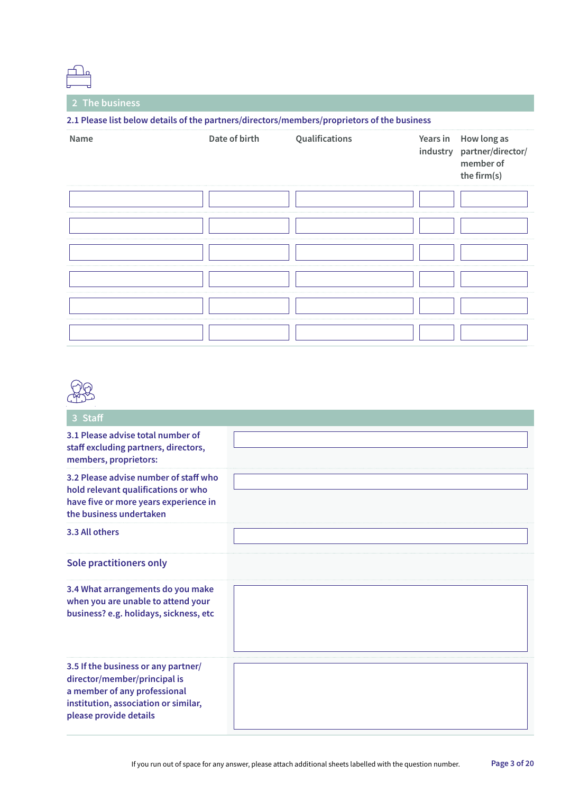**2 The business**

|      | 2.1 Please list below details of the partners/directors/members/proprietors of the business |                |          |                                                                       |
|------|---------------------------------------------------------------------------------------------|----------------|----------|-----------------------------------------------------------------------|
| Name | Date of birth                                                                               | Qualifications | Years in | How long as<br>industry partner/director/<br>member of<br>the firm(s) |
|      |                                                                                             |                |          |                                                                       |
|      |                                                                                             |                |          |                                                                       |
|      |                                                                                             |                |          |                                                                       |
|      |                                                                                             |                |          |                                                                       |
|      |                                                                                             |                |          |                                                                       |
|      |                                                                                             |                |          |                                                                       |



| 3 Staff                                                                                                                                                               |  |
|-----------------------------------------------------------------------------------------------------------------------------------------------------------------------|--|
| 3.1 Please advise total number of<br>staff excluding partners, directors,<br>members, proprietors:                                                                    |  |
| 3.2 Please advise number of staff who<br>hold relevant qualifications or who<br>have five or more years experience in<br>the business undertaken                      |  |
| 3.3 All others                                                                                                                                                        |  |
| Sole practitioners only                                                                                                                                               |  |
| 3.4 What arrangements do you make<br>when you are unable to attend your<br>business? e.g. holidays, sickness, etc                                                     |  |
| 3.5 If the business or any partner/<br>director/member/principal is<br>a member of any professional<br>institution, association or similar,<br>please provide details |  |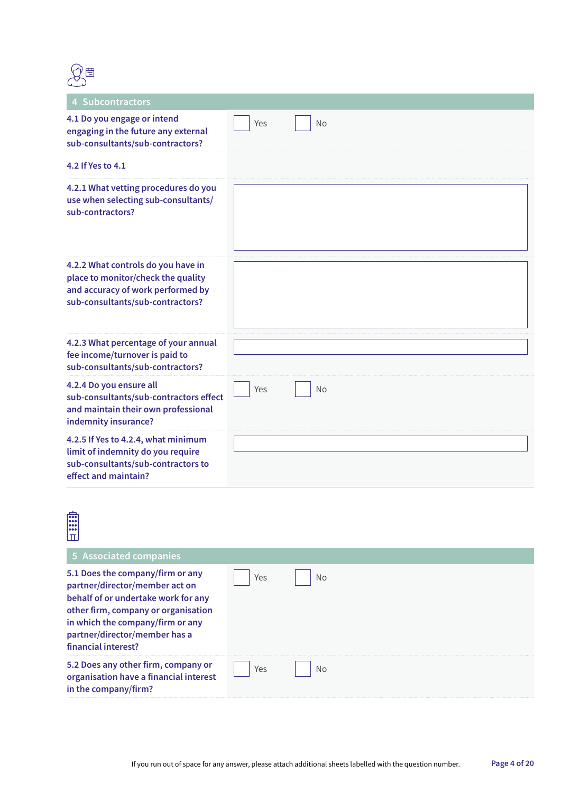

| 4 Subcontractors                                                                                                                                  |     |           |
|---------------------------------------------------------------------------------------------------------------------------------------------------|-----|-----------|
| 4.1 Do you engage or intend<br>engaging in the future any external<br>sub-consultants/sub-contractors?                                            | Yes | <b>No</b> |
| 4.2 If Yes to 4.1                                                                                                                                 |     |           |
| 4.2.1 What vetting procedures do you<br>use when selecting sub-consultants/<br>sub-contractors?                                                   |     |           |
| 4.2.2 What controls do you have in<br>place to monitor/check the quality<br>and accuracy of work performed by<br>sub-consultants/sub-contractors? |     |           |
| 4.2.3 What percentage of your annual<br>fee income/turnover is paid to<br>sub-consultants/sub-contractors?                                        |     |           |
| 4.2.4 Do you ensure all<br>sub-consultants/sub-contractors effect<br>and maintain their own professional<br>indemnity insurance?                  | Yes | <b>No</b> |
| 4.2.5 If Yes to 4.2.4, what minimum<br>limit of indemnity do you require<br>sub-consultants/sub-contractors to<br>effect and maintain?            |     |           |

| ᢛ<br> 000<br> 000<br> ooo                                                                                                                                                                                                                    |     |           |
|----------------------------------------------------------------------------------------------------------------------------------------------------------------------------------------------------------------------------------------------|-----|-----------|
| 5 Associated companies                                                                                                                                                                                                                       |     |           |
| 5.1 Does the company/firm or any<br>partner/director/member act on<br>behalf of or undertake work for any<br>other firm, company or organisation<br>in which the company/firm or any<br>partner/director/member has a<br>financial interest? | Yes | <b>No</b> |
| 5.2 Does any other firm, company or<br>organisation have a financial interest<br>in the company/firm?                                                                                                                                        | Yes | <b>No</b> |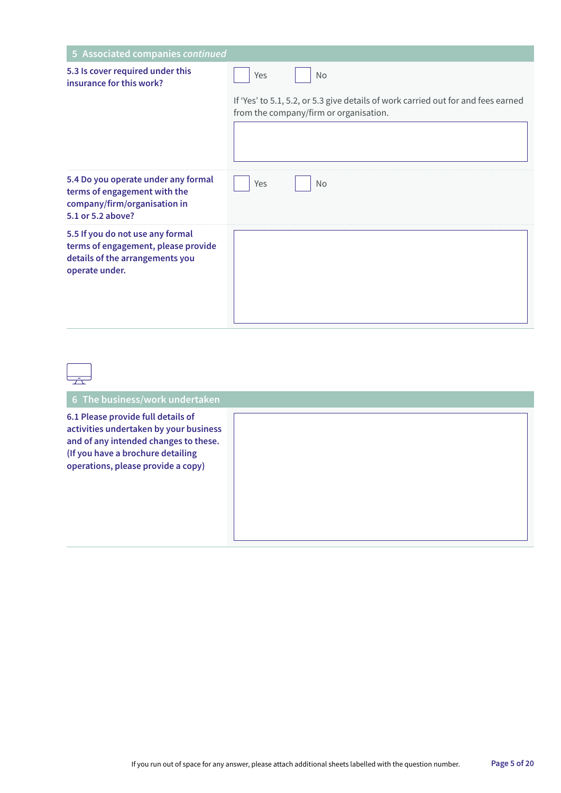| 5 Associated companies continued                                                                                             |                                                                                                                             |
|------------------------------------------------------------------------------------------------------------------------------|-----------------------------------------------------------------------------------------------------------------------------|
| 5.3 Is cover required under this<br>insurance for this work?                                                                 | Yes<br><b>No</b>                                                                                                            |
|                                                                                                                              | If 'Yes' to 5.1, 5.2, or 5.3 give details of work carried out for and fees earned<br>from the company/firm or organisation. |
| 5.4 Do you operate under any formal<br>terms of engagement with the<br>company/firm/organisation in<br>5.1 or 5.2 above?     | Yes<br>No                                                                                                                   |
| 5.5 If you do not use any formal<br>terms of engagement, please provide<br>details of the arrangements you<br>operate under. |                                                                                                                             |

| 六                                                                                                                                                                                                |  |
|--------------------------------------------------------------------------------------------------------------------------------------------------------------------------------------------------|--|
| 6 The business/work undertaken                                                                                                                                                                   |  |
| 6.1 Please provide full details of<br>activities undertaken by your business<br>and of any intended changes to these.<br>(If you have a brochure detailing<br>operations, please provide a copy) |  |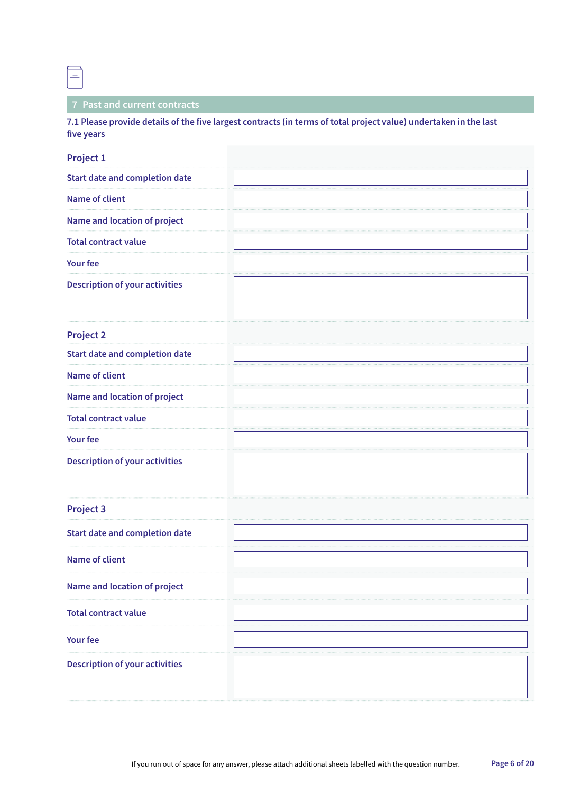$=$ 

### **7 Past and current contracts**

**7.1 Please provide details of the five largest contracts (in terms of total project value) undertaken in the last five years**

#### **Project 1**

| <b>Project 2</b> |  |
|------------------|--|
|------------------|--|

| <b>Start date and completion date</b> |  |
|---------------------------------------|--|
| Name of client                        |  |
| Name and location of project          |  |
| <b>Total contract value</b>           |  |
| <b>Your fee</b>                       |  |
| <b>Description of your activities</b> |  |

#### **Project 3**

| .                                     |  |
|---------------------------------------|--|
| <b>Start date and completion date</b> |  |
| <b>Name of client</b>                 |  |
| Name and location of project          |  |
| <b>Total contract value</b>           |  |
| <b>Your fee</b>                       |  |
| <b>Description of your activities</b> |  |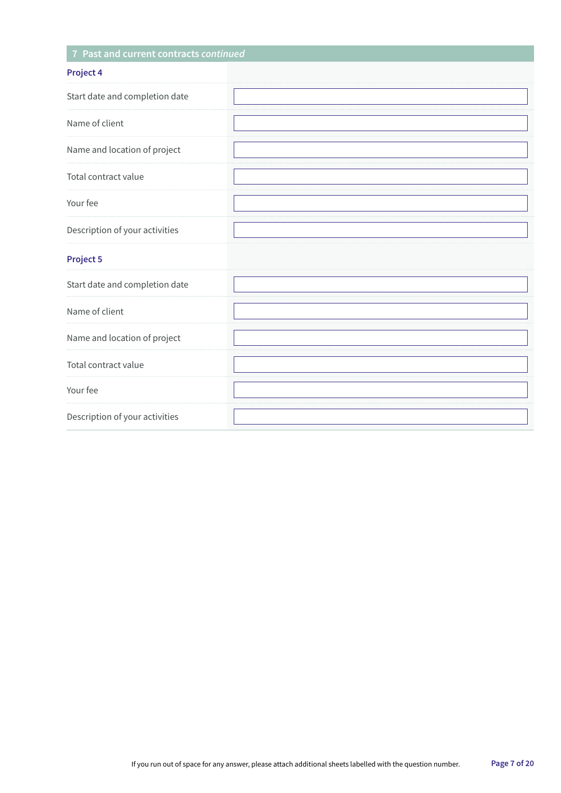## **7 Past and current contracts** *continued*

|--|

| .                              |  |
|--------------------------------|--|
| Start date and completion date |  |
| Name of client                 |  |
| Name and location of project   |  |
| Total contract value           |  |
| Your fee                       |  |
| Description of your activities |  |
| Project 5                      |  |
| Start date and completion date |  |
| Name of client                 |  |
| Name and location of project   |  |
| Total contract value           |  |
| Your fee                       |  |
| Description of your activities |  |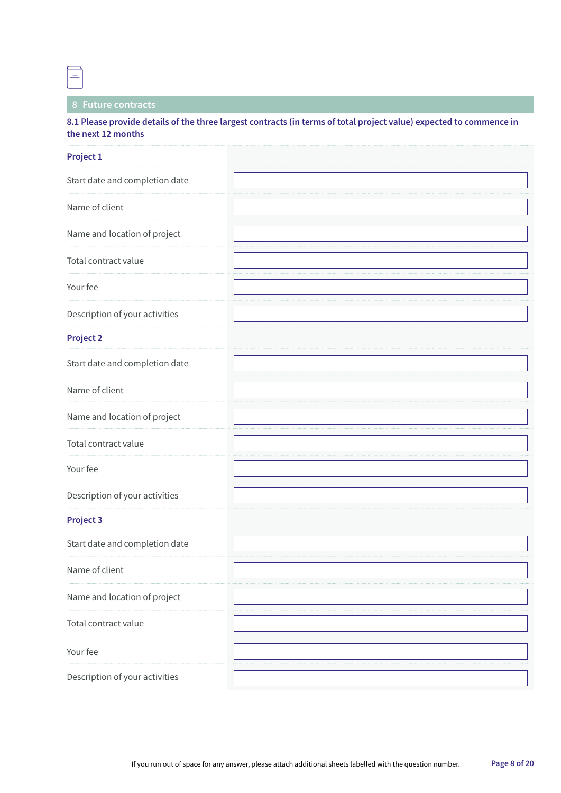$=$ 

### **8 Future contracts**

**8.1 Please provide details of the three largest contracts (in terms of total project value) expected to commence in the next 12 months**

| Project 1                      |  |
|--------------------------------|--|
| Start date and completion date |  |
| Name of client                 |  |
| Name and location of project   |  |
| Total contract value           |  |
| Your fee                       |  |
| Description of your activities |  |
| <b>Project 2</b>               |  |
| Start date and completion date |  |
| Name of client                 |  |
| Name and location of project   |  |
| Total contract value           |  |
| Your fee                       |  |
| Description of your activities |  |
| <b>Project 3</b>               |  |
| Start date and completion date |  |
| Name of client                 |  |
| Name and location of project   |  |
| Total contract value           |  |
| Your fee                       |  |
| Description of your activities |  |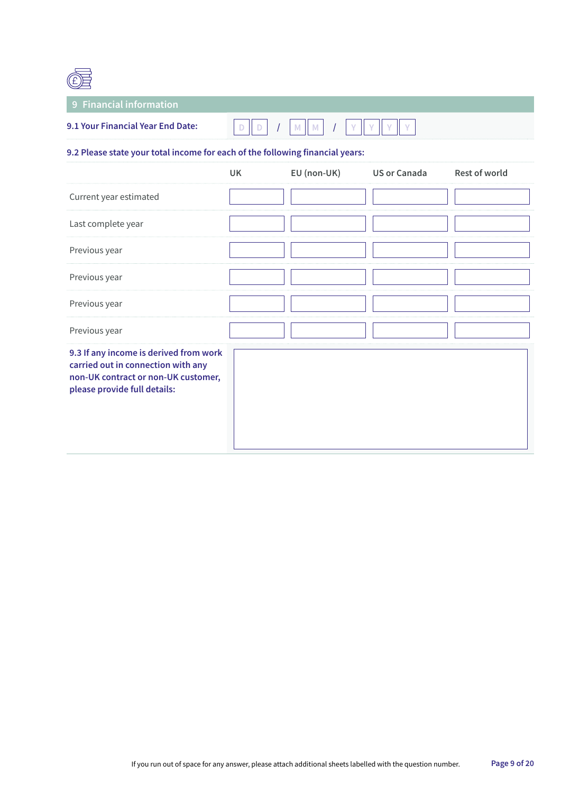

## **9 Financial information**

| 9.1 Your Financial Year End Date: \ | ٠ |  |  |  |  |  |
|-------------------------------------|---|--|--|--|--|--|
|                                     |   |  |  |  |  |  |

### **9.2 Please state your total income for each of the following financial years:**

|                                                                                                                                                     | UK | EU (non-UK) | <b>US or Canada</b> | <b>Rest of world</b> |
|-----------------------------------------------------------------------------------------------------------------------------------------------------|----|-------------|---------------------|----------------------|
| Current year estimated                                                                                                                              |    |             |                     |                      |
| Last complete year                                                                                                                                  |    |             |                     |                      |
| Previous year                                                                                                                                       |    |             |                     |                      |
| Previous year                                                                                                                                       |    |             |                     |                      |
| Previous year                                                                                                                                       |    |             |                     |                      |
| Previous year                                                                                                                                       |    |             |                     |                      |
| 9.3 If any income is derived from work<br>carried out in connection with any<br>non-UK contract or non-UK customer,<br>please provide full details: |    |             |                     |                      |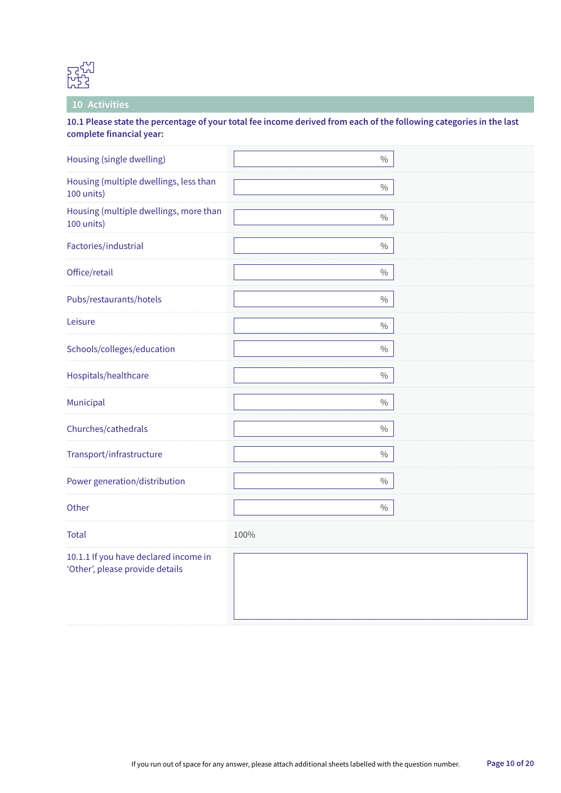

#### **10 Activities**

**10.1 Please state the percentage of your total fee income derived from each of the following categories in the last complete financial year:**

| Housing (single dwelling)                                                | $\%$          |
|--------------------------------------------------------------------------|---------------|
| Housing (multiple dwellings, less than<br>100 units)                     | $\frac{0}{0}$ |
| Housing (multiple dwellings, more than<br>100 units)                     | $\frac{0}{0}$ |
| Factories/industrial                                                     | $\frac{0}{0}$ |
| Office/retail                                                            | $\frac{0}{0}$ |
| Pubs/restaurants/hotels                                                  | $\frac{0}{0}$ |
| Leisure                                                                  | $\frac{0}{0}$ |
| Schools/colleges/education                                               | $\frac{0}{0}$ |
| Hospitals/healthcare                                                     | $\frac{0}{0}$ |
| Municipal                                                                | $\frac{0}{0}$ |
| Churches/cathedrals                                                      | $\frac{0}{0}$ |
| Transport/infrastructure                                                 | $\%$          |
| Power generation/distribution                                            | $\frac{0}{0}$ |
| Other                                                                    | $\%$          |
| <b>Total</b>                                                             | 100%          |
| 10.1.1 If you have declared income in<br>'Other', please provide details |               |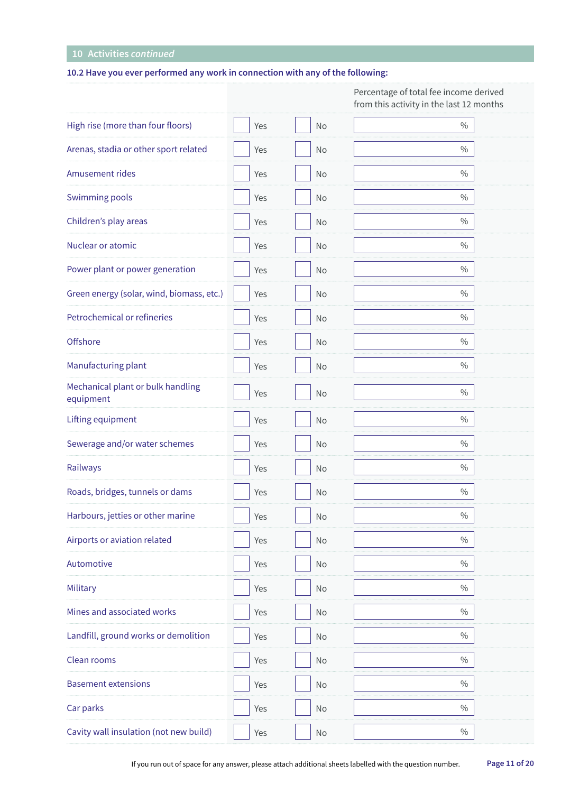## **10 Activities** *continued*

### **10.2 Have you ever performed any work in connection with any of the following:**

|                                                |     |               | Percentage of total fee income derived<br>from this activity in the last 12 months |
|------------------------------------------------|-----|---------------|------------------------------------------------------------------------------------|
| High rise (more than four floors)              | Yes | No            | $\frac{0}{0}$                                                                      |
| Arenas, stadia or other sport related          | Yes | No            | $\%$                                                                               |
| Amusement rides                                | Yes | No            | $\%$                                                                               |
| Swimming pools                                 | Yes | No            | $\%$                                                                               |
| Children's play areas                          | Yes | No            | $\%$                                                                               |
| Nuclear or atomic                              | Yes | No            | $\frac{0}{0}$                                                                      |
| Power plant or power generation                | Yes | No            | $\%$                                                                               |
| Green energy (solar, wind, biomass, etc.)      | Yes | No            | $\%$                                                                               |
| Petrochemical or refineries                    | Yes | No            | $\frac{0}{0}$                                                                      |
| Offshore                                       | Yes | No            | $\frac{0}{0}$                                                                      |
| Manufacturing plant                            | Yes | No            | $\frac{0}{0}$                                                                      |
| Mechanical plant or bulk handling<br>equipment | Yes | No            | $\frac{0}{0}$                                                                      |
| Lifting equipment                              | Yes | No            | $\frac{0}{0}$                                                                      |
| Sewerage and/or water schemes                  | Yes | No            | $\frac{0}{0}$                                                                      |
| Railways                                       | Yes | No            | $\%$                                                                               |
| Roads, bridges, tunnels or dams                | Yes | No            | $\%$                                                                               |
| Harbours, jetties or other marine              | Yes | No            | $\frac{0}{0}$                                                                      |
| Airports or aviation related                   | Yes | No            | $\frac{0}{0}$                                                                      |
| Automotive                                     | Yes | No            | $\frac{0}{0}$                                                                      |
| Military                                       | Yes | No            | $\frac{0}{0}$                                                                      |
| Mines and associated works                     | Yes | No            | $\frac{0}{0}$                                                                      |
| Landfill, ground works or demolition           | Yes | No            | $\frac{0}{0}$                                                                      |
| Clean rooms                                    | Yes | No            | $\frac{0}{0}$                                                                      |
| <b>Basement extensions</b>                     | Yes | No            | $\frac{0}{0}$                                                                      |
| Car parks                                      | Yes | No            | $\frac{0}{0}$                                                                      |
| Cavity wall insulation (not new build)         | Yes | $\mathsf{No}$ | $\%$                                                                               |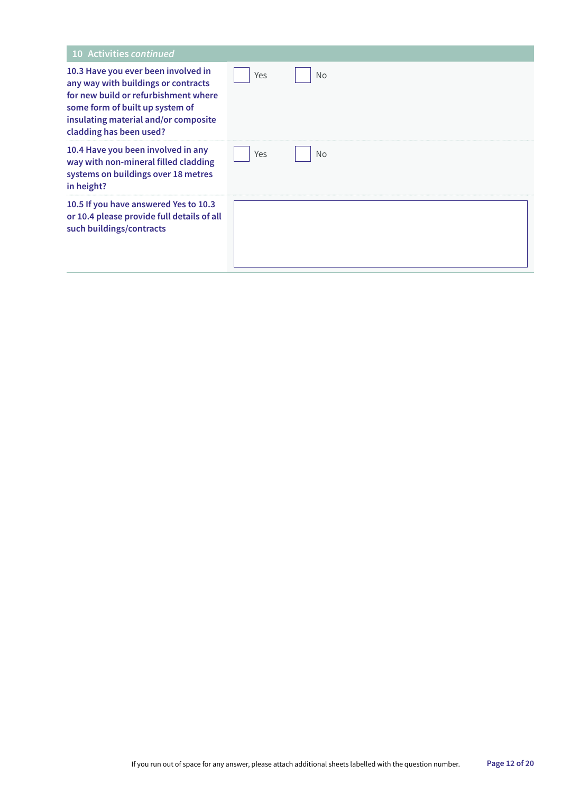| 10 Activities continued                                                                                                                                                                                                  |     |           |
|--------------------------------------------------------------------------------------------------------------------------------------------------------------------------------------------------------------------------|-----|-----------|
| 10.3 Have you ever been involved in<br>any way with buildings or contracts<br>for new build or refurbishment where<br>some form of built up system of<br>insulating material and/or composite<br>cladding has been used? | Yes | <b>No</b> |
| 10.4 Have you been involved in any<br>way with non-mineral filled cladding<br>systems on buildings over 18 metres<br>in height?                                                                                          | Yes | <b>No</b> |
| 10.5 If you have answered Yes to 10.3<br>or 10.4 please provide full details of all<br>such buildings/contracts                                                                                                          |     |           |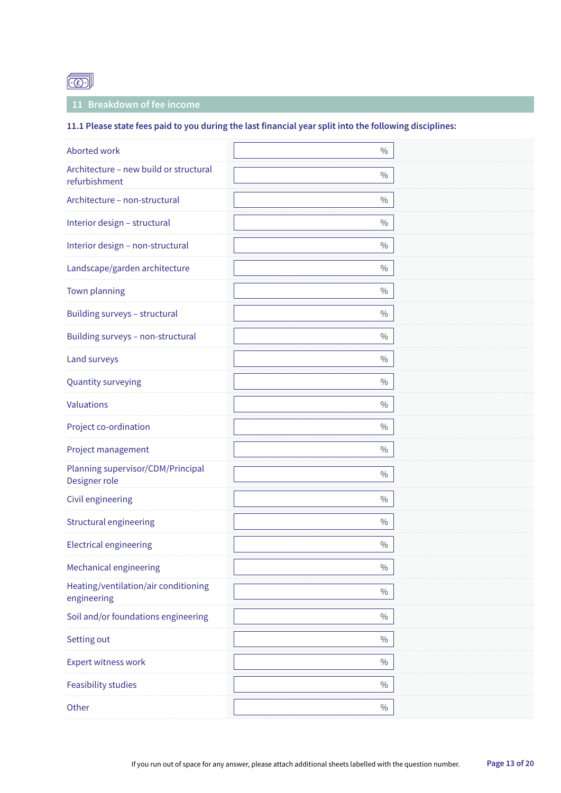

### **11 Breakdown of fee income**

### **11.1 Please state fees paid to you during the last financial year split into the following disciplines:**

| Aborted work                                            | $\frac{0}{0}$ |  |
|---------------------------------------------------------|---------------|--|
| Architecture - new build or structural<br>refurbishment | $\frac{0}{0}$ |  |
| Architecture - non-structural                           | $\frac{0}{0}$ |  |
| Interior design - structural                            | $\frac{0}{0}$ |  |
| Interior design - non-structural                        | $\frac{0}{0}$ |  |
| Landscape/garden architecture                           | $\frac{0}{0}$ |  |
| Town planning                                           | $\frac{0}{0}$ |  |
| Building surveys - structural                           | $\frac{0}{0}$ |  |
| Building surveys - non-structural                       | $\frac{0}{0}$ |  |
| Land surveys                                            | $\frac{0}{0}$ |  |
| Quantity surveying                                      | $\frac{0}{0}$ |  |
| <b>Valuations</b>                                       | $\frac{0}{0}$ |  |
| Project co-ordination                                   | $\frac{0}{0}$ |  |
| Project management                                      | $\%$          |  |
| Planning supervisor/CDM/Principal<br>Designer role      | $\%$          |  |
| Civil engineering                                       | $\%$          |  |
| Structural engineering                                  | $\%$          |  |
| <b>Electrical engineering</b>                           | $\%$          |  |
| <b>Mechanical engineering</b>                           | $\%$          |  |
| Heating/ventilation/air conditioning<br>engineering     | $\%$          |  |
| Soil and/or foundations engineering                     | $\frac{0}{0}$ |  |
| Setting out                                             | $\%$          |  |
| <b>Expert witness work</b>                              | $\%$          |  |
| <b>Feasibility studies</b>                              | $\frac{0}{0}$ |  |
| Other                                                   | $\%$          |  |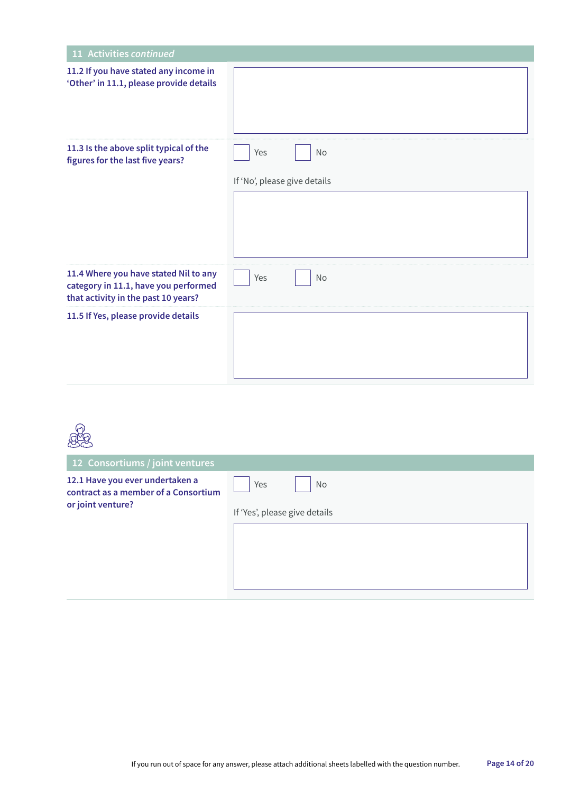| 11 Activities continued                                                                                              |                              |
|----------------------------------------------------------------------------------------------------------------------|------------------------------|
| 11.2 If you have stated any income in<br>'Other' in 11.1, please provide details                                     |                              |
| 11.3 Is the above split typical of the<br>figures for the last five years?                                           | Yes<br>No                    |
|                                                                                                                      | If 'No', please give details |
|                                                                                                                      |                              |
| 11.4 Where you have stated Nil to any<br>category in 11.1, have you performed<br>that activity in the past 10 years? | Yes<br>No                    |
| 11.5 If Yes, please provide details                                                                                  |                              |

| 12 Consortiums / joint ventures                                                              |                                            |
|----------------------------------------------------------------------------------------------|--------------------------------------------|
| 12.1 Have you ever undertaken a<br>contract as a member of a Consortium<br>or joint venture? | Yes<br>No<br>If 'Yes', please give details |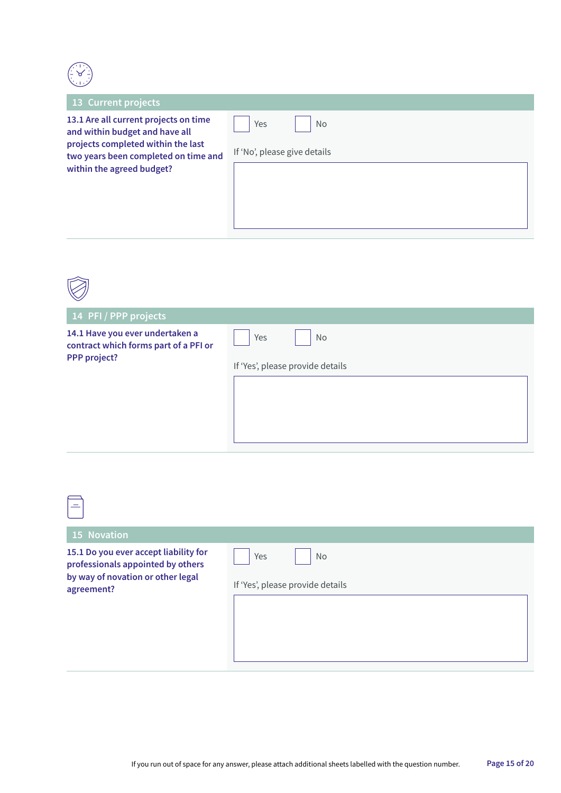

 $\boxed{=}$ 

| 13 Current projects                                                                                                                                                                |                                           |
|------------------------------------------------------------------------------------------------------------------------------------------------------------------------------------|-------------------------------------------|
| 13.1 Are all current projects on time<br>and within budget and have all<br>projects completed within the last<br>two years been completed on time and<br>within the agreed budget? | Yes<br>No<br>If 'No', please give details |

| 14 PFI / PPP projects                                                                    |                                               |
|------------------------------------------------------------------------------------------|-----------------------------------------------|
| 14.1 Have you ever undertaken a<br>contract which forms part of a PFI or<br>PPP project? | Yes<br>No<br>If 'Yes', please provide details |

| <b>15 Novation</b>                                                                                                            |                                                      |
|-------------------------------------------------------------------------------------------------------------------------------|------------------------------------------------------|
| 15.1 Do you ever accept liability for<br>professionals appointed by others<br>by way of novation or other legal<br>agreement? | <b>No</b><br>Yes<br>If 'Yes', please provide details |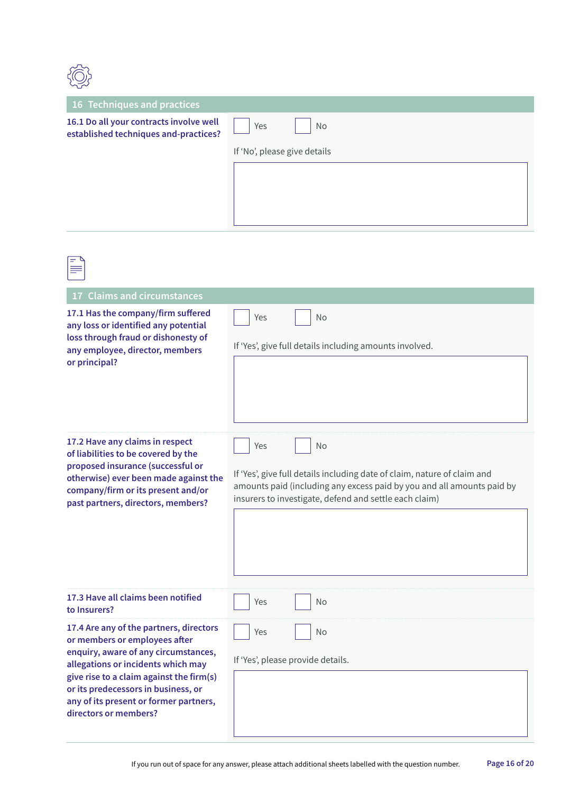| <b>16 Techniques and practices</b>                                                                                                                                    |                                                         |
|-----------------------------------------------------------------------------------------------------------------------------------------------------------------------|---------------------------------------------------------|
| 16.1 Do all your contracts involve well<br>established techniques and-practices?                                                                                      | <b>No</b><br>Yes                                        |
|                                                                                                                                                                       | If 'No', please give details                            |
|                                                                                                                                                                       |                                                         |
| ≡                                                                                                                                                                     |                                                         |
| 17 Claims and circumstances                                                                                                                                           |                                                         |
| 17.1 Has the company/firm suffered<br>any loss or identified any potential<br>loss through fraud or dishonesty of<br>any employee, director, members<br>or principal? | Yes<br><b>No</b>                                        |
|                                                                                                                                                                       | If 'Yes', give full details including amounts involved. |
|                                                                                                                                                                       |                                                         |

Yes | No

**17.2 Have any claims in respect of liabilities to be covered by the proposed insurance (successful or otherwise) ever been made against the company/firm or its present and/or past partners, directors, members?**

If 'Yes', give full details including date of claim, nature of claim and amounts paid (including any excess paid by you and all amounts paid by insurers to investigate, defend and settle each claim)

| 17.3 Have all claims been notified<br>to Insurers?                                                                                                                                                                                                                                                           | No<br>Yes                                      |
|--------------------------------------------------------------------------------------------------------------------------------------------------------------------------------------------------------------------------------------------------------------------------------------------------------------|------------------------------------------------|
| 17.4 Are any of the partners, directors<br>or members or employees after<br>enquiry, aware of any circumstances,<br>allegations or incidents which may<br>give rise to a claim against the firm(s)<br>or its predecessors in business, or<br>any of its present or former partners,<br>directors or members? | No<br>Yes<br>If 'Yes', please provide details. |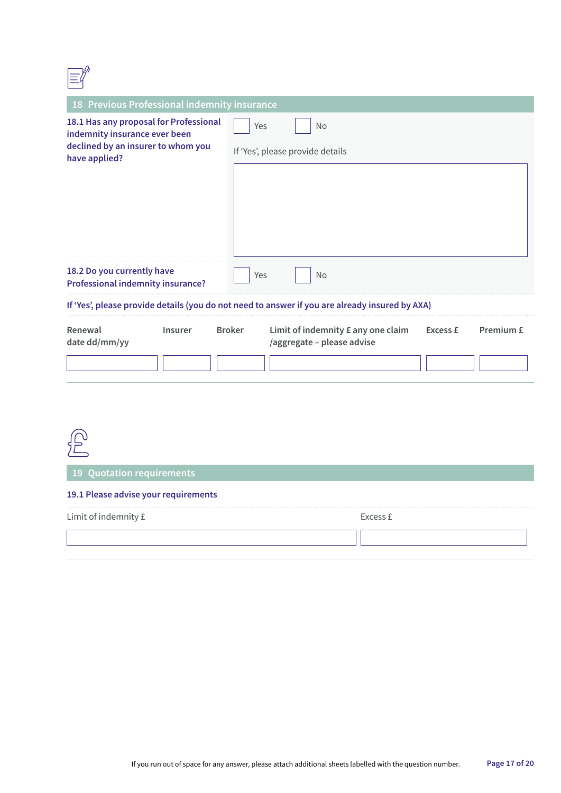| 18 Previous Professional indemnity insurance                                                                                   |                                                                                                            |  |
|--------------------------------------------------------------------------------------------------------------------------------|------------------------------------------------------------------------------------------------------------|--|
| 18.1 Has any proposal for Professional<br>indemnity insurance ever been<br>declined by an insurer to whom you<br>have applied? | Yes<br><b>No</b>                                                                                           |  |
|                                                                                                                                | If 'Yes', please provide details                                                                           |  |
|                                                                                                                                |                                                                                                            |  |
|                                                                                                                                |                                                                                                            |  |
|                                                                                                                                |                                                                                                            |  |
| 18.2 Do you currently have<br><b>Professional indemnity insurance?</b>                                                         | Yes<br><b>No</b>                                                                                           |  |
| If 'Yes', please provide details (you do not need to answer if you are already insured by AXA)                                 |                                                                                                            |  |
| Renewal<br><b>Insurer</b><br>date dd/mm/yy                                                                                     | <b>Broker</b><br>Limit of indemnity £ any one claim<br>Premium £<br>Excess £<br>/aggregate - please advise |  |
|                                                                                                                                |                                                                                                            |  |



**19 Quotation requirements**

#### **19.1 Please advise your requirements**

| Limit of indemnity £ | Evroce. |
|----------------------|---------|
|                      |         |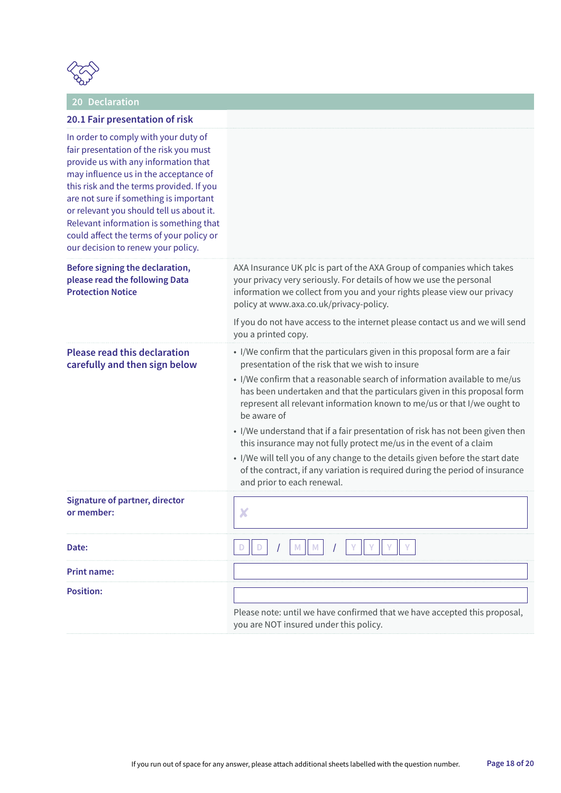

## **20 Declaration**

### **20.1 Fair presentation of risk**

| In order to comply with your duty of<br>fair presentation of the risk you must<br>provide us with any information that<br>may influence us in the acceptance of<br>this risk and the terms provided. If you<br>are not sure if something is important<br>or relevant you should tell us about it.<br>Relevant information is something that<br>could affect the terms of your policy or<br>our decision to renew your policy. |                                                                                                                                                                                                                                                                                                                                                                                                                                                                                                                                                                                                                                                                                                                                        |
|-------------------------------------------------------------------------------------------------------------------------------------------------------------------------------------------------------------------------------------------------------------------------------------------------------------------------------------------------------------------------------------------------------------------------------|----------------------------------------------------------------------------------------------------------------------------------------------------------------------------------------------------------------------------------------------------------------------------------------------------------------------------------------------------------------------------------------------------------------------------------------------------------------------------------------------------------------------------------------------------------------------------------------------------------------------------------------------------------------------------------------------------------------------------------------|
| Before signing the declaration,<br>please read the following Data<br><b>Protection Notice</b>                                                                                                                                                                                                                                                                                                                                 | AXA Insurance UK plc is part of the AXA Group of companies which takes<br>your privacy very seriously. For details of how we use the personal<br>information we collect from you and your rights please view our privacy<br>policy at www.axa.co.uk/privacy-policy.<br>If you do not have access to the internet please contact us and we will send                                                                                                                                                                                                                                                                                                                                                                                    |
|                                                                                                                                                                                                                                                                                                                                                                                                                               | you a printed copy.                                                                                                                                                                                                                                                                                                                                                                                                                                                                                                                                                                                                                                                                                                                    |
| <b>Please read this declaration</b><br>carefully and then sign below                                                                                                                                                                                                                                                                                                                                                          | • I/We confirm that the particulars given in this proposal form are a fair<br>presentation of the risk that we wish to insure<br>• I/We confirm that a reasonable search of information available to me/us<br>has been undertaken and that the particulars given in this proposal form<br>represent all relevant information known to me/us or that I/we ought to<br>be aware of<br>• I/We understand that if a fair presentation of risk has not been given then<br>this insurance may not fully protect me/us in the event of a claim<br>• I/We will tell you of any change to the details given before the start date<br>of the contract, if any variation is required during the period of insurance<br>and prior to each renewal. |
| <b>Signature of partner, director</b><br>or member:                                                                                                                                                                                                                                                                                                                                                                           | X                                                                                                                                                                                                                                                                                                                                                                                                                                                                                                                                                                                                                                                                                                                                      |
| Date:                                                                                                                                                                                                                                                                                                                                                                                                                         | $I$ M M<br>$\mathcal{L}$                                                                                                                                                                                                                                                                                                                                                                                                                                                                                                                                                                                                                                                                                                               |
| <b>Print name:</b>                                                                                                                                                                                                                                                                                                                                                                                                            |                                                                                                                                                                                                                                                                                                                                                                                                                                                                                                                                                                                                                                                                                                                                        |
| <b>Position:</b>                                                                                                                                                                                                                                                                                                                                                                                                              | Please note: until we have confirmed that we have accepted this proposal,<br>you are NOT insured under this policy.                                                                                                                                                                                                                                                                                                                                                                                                                                                                                                                                                                                                                    |
|                                                                                                                                                                                                                                                                                                                                                                                                                               |                                                                                                                                                                                                                                                                                                                                                                                                                                                                                                                                                                                                                                                                                                                                        |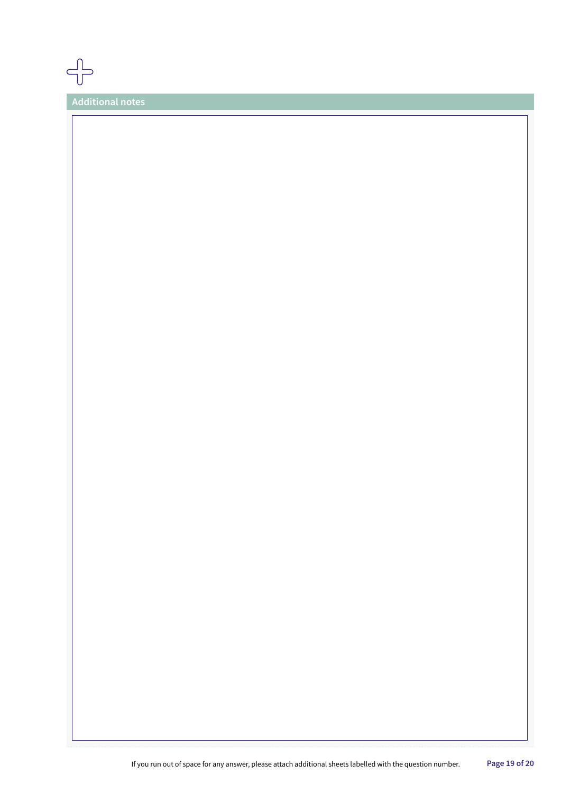**Additional notes**

ת<br>חר